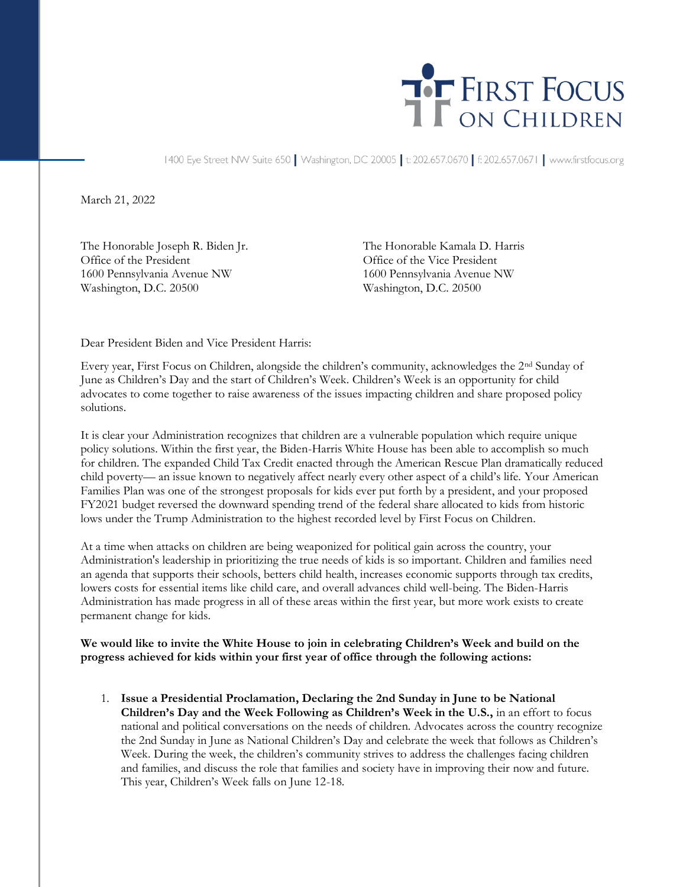

1400 Eye Street NW Suite 650 | Washington, DC 20005 | t: 202.657.0670 | f: 202.657.0671 | www.firstfocus.org

March 21, 2022

Office of the President Office of the Vice President 1600 Pennsylvania Avenue NW 1600 Pennsylvania Avenue NW Washington, D.C. 20500 Washington, D.C. 20500

The Honorable Joseph R. Biden Jr. The Honorable Kamala D. Harris

Dear President Biden and Vice President Harris:

Every year, First Focus on Children, alongside the children's community, acknowledges the 2nd Sunday of June as Children's Day and the start of Children's Week. Children's Week is an opportunity for child advocates to come together to raise awareness of the issues impacting children and share proposed policy solutions.

It is clear your Administration recognizes that children are a vulnerable population which require unique policy solutions. Within the first year, the Biden-Harris White House has been able to accomplish so much for children. The expanded Child Tax Credit enacted through the American Rescue Plan dramatically reduced child poverty— an issue known to negatively affect nearly every other aspect of a child's life. Your American Families Plan was one of the strongest proposals for kids ever put forth by a president, and your proposed FY2021 budget reversed the downward spending trend of the federal share allocated to kids from historic lows under the Trump Administration to the highest recorded level by First Focus on Children.

At a time when attacks on children are being weaponized for political gain across the country, your Administration's leadership in prioritizing the true needs of kids is so important. Children and families need an agenda that supports their schools, betters child health, increases economic supports through tax credits, lowers costs for essential items like child care, and overall advances child well-being. The Biden-Harris Administration has made progress in all of these areas within the first year, but more work exists to create permanent change for kids.

**We would like to invite the White House to join in celebrating Children's Week and build on the progress achieved for kids within your first year of office through the following actions:** 

1. **Issue a Presidential Proclamation, Declaring the 2nd Sunday in June to be National Children's Day and the Week Following as Children's Week in the U.S.,** in an effort to focus national and political conversations on the needs of children. Advocates across the country recognize the 2nd Sunday in June as National Children's Day and celebrate the week that follows as Children's Week. During the week, the children's community strives to address the challenges facing children and families, and discuss the role that families and society have in improving their now and future. This year, Children's Week falls on June 12-18.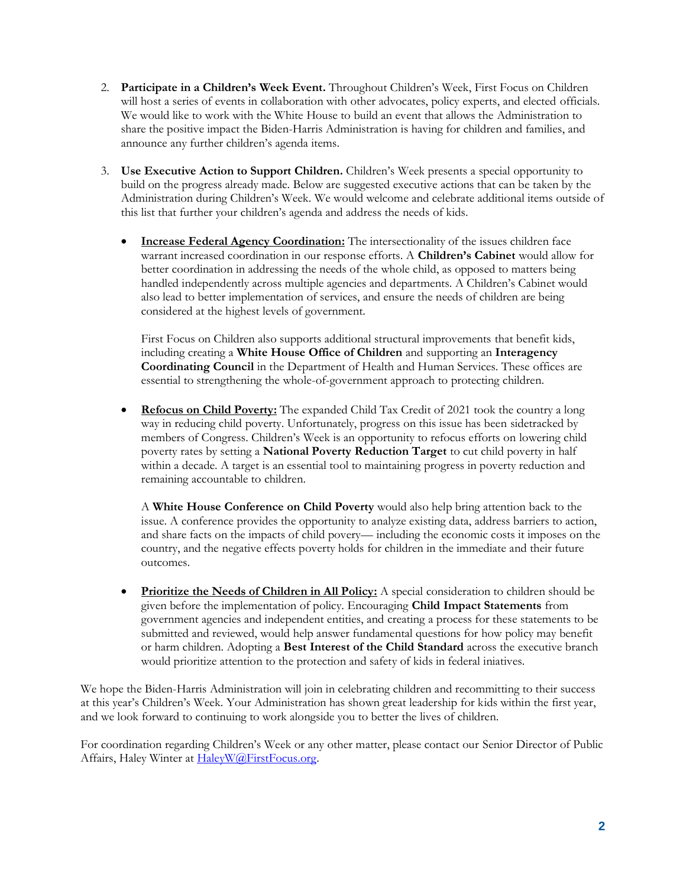- 2. **Participate in a Children's Week Event.** Throughout Children's Week, First Focus on Children will host a series of events in collaboration with other advocates, policy experts, and elected officials. We would like to work with the White House to build an event that allows the Administration to share the positive impact the Biden-Harris Administration is having for children and families, and announce any further children's agenda items.
- 3. **Use Executive Action to Support Children.** Children's Week presents a special opportunity to build on the progress already made. Below are suggested executive actions that can be taken by the Administration during Children's Week. We would welcome and celebrate additional items outside of this list that further your children's agenda and address the needs of kids.
	- **Increase Federal Agency Coordination:** The intersectionality of the issues children face warrant increased coordination in our response efforts. A **Children's Cabinet** would allow for better coordination in addressing the needs of the whole child, as opposed to matters being handled independently across multiple agencies and departments. A Children's Cabinet would also lead to better implementation of services, and ensure the needs of children are being considered at the highest levels of government.

First Focus on Children also supports additional structural improvements that benefit kids, including creating a **White House Office of Children** and supporting an **Interagency Coordinating Council** in the Department of Health and Human Services. These offices are essential to strengthening the whole-of-government approach to protecting children.

• **Refocus on Child Poverty:** The expanded Child Tax Credit of 2021 took the country a long way in reducing child poverty. Unfortunately, progress on this issue has been sidetracked by members of Congress. Children's Week is an opportunity to refocus efforts on lowering child poverty rates by setting a **National Poverty Reduction Target** to cut child poverty in half within a decade. A target is an essential tool to maintaining progress in poverty reduction and remaining accountable to children.

A **White House Conference on Child Poverty** would also help bring attention back to the issue. A conference provides the opportunity to analyze existing data, address barriers to action, and share facts on the impacts of child povery— including the economic costs it imposes on the country, and the negative effects poverty holds for children in the immediate and their future outcomes.

• **Prioritize the Needs of Children in All Policy:** A special consideration to children should be given before the implementation of policy. Encouraging **Child Impact Statements** from government agencies and independent entities, and creating a process for these statements to be submitted and reviewed, would help answer fundamental questions for how policy may benefit or harm children. Adopting a **Best Interest of the Child Standard** across the executive branch would prioritize attention to the protection and safety of kids in federal iniatives.

We hope the Biden-Harris Administration will join in celebrating children and recommitting to their success at this year's Children's Week. Your Administration has shown great leadership for kids within the first year, and we look forward to continuing to work alongside you to better the lives of children.

For coordination regarding Children's Week or any other matter, please contact our Senior Director of Public Affairs, Haley Winter at [HaleyW@FirstFocus.org.](mailto:HaleyW@FirstFocus.org)